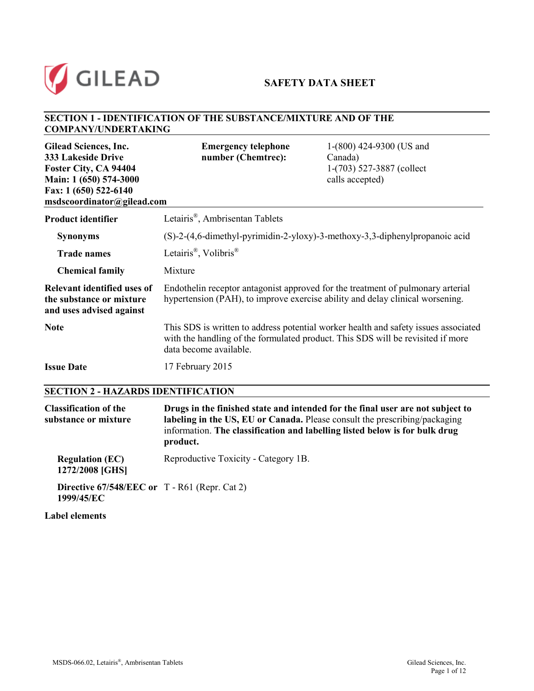

## **SAFETY DATA SHEET**

### **SECTION 1 - IDENTIFICATION OF THE SUBSTANCE/MIXTURE AND OF THE COMPANY/UNDERTAKING**

| <b>Gilead Sciences, Inc.</b><br><b>333 Lakeside Drive</b><br>Foster City, CA 94404<br>Main: 1 (650) 574-3000<br>Fax: 1 (650) 522-6140<br>msdscoordinator@gilead.com | <b>Emergency telephone</b><br>number (Chemtrec):                               | 1-(800) 424-9300 (US and<br>Canada)<br>1-(703) 527-3887 (collect<br>calls accepted)                                                                                    |
|---------------------------------------------------------------------------------------------------------------------------------------------------------------------|--------------------------------------------------------------------------------|------------------------------------------------------------------------------------------------------------------------------------------------------------------------|
| <b>Product identifier</b>                                                                                                                                           | Letairis <sup>®</sup> , Ambrisentan Tablets                                    |                                                                                                                                                                        |
| <b>Synonyms</b>                                                                                                                                                     | $(S)-2-(4,6$ -dimethyl-pyrimidin-2-yloxy)-3-methoxy-3,3-diphenylpropanoic acid |                                                                                                                                                                        |
| <b>Trade names</b>                                                                                                                                                  | Letairis <sup>®</sup> , Volibris <sup>®</sup>                                  |                                                                                                                                                                        |
| <b>Chemical family</b>                                                                                                                                              | Mixture                                                                        |                                                                                                                                                                        |
| Relevant identified uses of<br>the substance or mixture<br>and uses advised against                                                                                 |                                                                                | Endothelin receptor antagonist approved for the treatment of pulmonary arterial<br>hypertension (PAH), to improve exercise ability and delay clinical worsening.       |
| <b>Note</b>                                                                                                                                                         | data become available.                                                         | This SDS is written to address potential worker health and safety issues associated<br>with the handling of the formulated product. This SDS will be revisited if more |
| <b>Issue Date</b>                                                                                                                                                   | 17 February 2015                                                               |                                                                                                                                                                        |
| <b>SECTION 2 - HAZARDS IDENTIFICATION</b>                                                                                                                           |                                                                                |                                                                                                                                                                        |

| <b>Classification of the</b><br>substance or mixture            | Drugs in the finished state and intended for the final user are not subject to<br>labeling in the US, EU or Canada. Please consult the prescribing/packaging<br>information. The classification and labelling listed below is for bulk drug<br>product. |
|-----------------------------------------------------------------|---------------------------------------------------------------------------------------------------------------------------------------------------------------------------------------------------------------------------------------------------------|
| <b>Regulation (EC)</b><br>1272/2008 [GHS]                       | Reproductive Toxicity - Category 1B.                                                                                                                                                                                                                    |
| Directive $67/548/EEC$ or $T - R61$ (Repr. Cat 2)<br>1999/45/EC |                                                                                                                                                                                                                                                         |

**Label elements**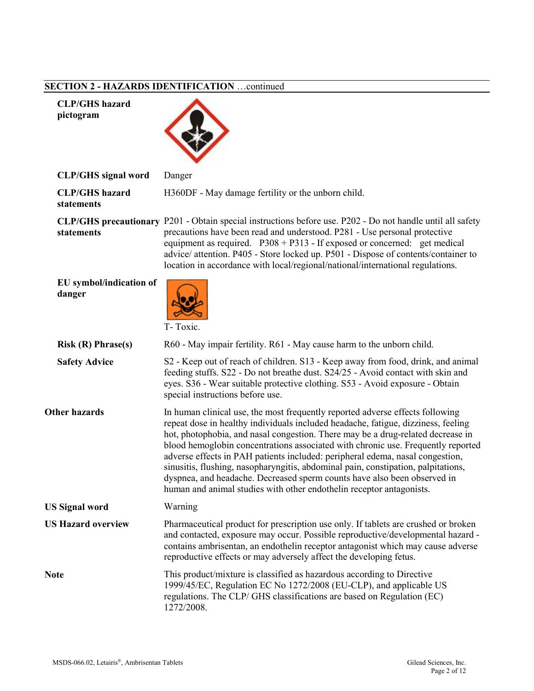# **SECTION 2 - HAZARDS IDENTIFICATION** …continued

| <b>CLP/GHS</b> hazard<br>pictogram  |                                                                                                                                                                                                                                                                                                                                                                                                                                                                                                                                                                                                                                                                     |
|-------------------------------------|---------------------------------------------------------------------------------------------------------------------------------------------------------------------------------------------------------------------------------------------------------------------------------------------------------------------------------------------------------------------------------------------------------------------------------------------------------------------------------------------------------------------------------------------------------------------------------------------------------------------------------------------------------------------|
| <b>CLP/GHS</b> signal word          | Danger                                                                                                                                                                                                                                                                                                                                                                                                                                                                                                                                                                                                                                                              |
| <b>CLP/GHS</b> hazard<br>statements | H360DF - May damage fertility or the unborn child.                                                                                                                                                                                                                                                                                                                                                                                                                                                                                                                                                                                                                  |
| statements                          | CLP/GHS precautionary P201 - Obtain special instructions before use. P202 - Do not handle until all safety<br>precautions have been read and understood. P281 - Use personal protective<br>equipment as required. $P308 + P313$ - If exposed or concerned: get medical<br>advice/ attention. P405 - Store locked up. P501 - Dispose of contents/container to<br>location in accordance with local/regional/national/international regulations.                                                                                                                                                                                                                      |
| EU symbol/indication of<br>danger   | T-Toxic.                                                                                                                                                                                                                                                                                                                                                                                                                                                                                                                                                                                                                                                            |
| Risk(R) Phrase(s)                   | R60 - May impair fertility. R61 - May cause harm to the unborn child.                                                                                                                                                                                                                                                                                                                                                                                                                                                                                                                                                                                               |
| <b>Safety Advice</b>                | S2 - Keep out of reach of children. S13 - Keep away from food, drink, and animal<br>feeding stuffs. S22 - Do not breathe dust. S24/25 - Avoid contact with skin and<br>eyes. S36 - Wear suitable protective clothing. S53 - Avoid exposure - Obtain<br>special instructions before use.                                                                                                                                                                                                                                                                                                                                                                             |
| <b>Other hazards</b>                | In human clinical use, the most frequently reported adverse effects following<br>repeat dose in healthy individuals included headache, fatigue, dizziness, feeling<br>hot, photophobia, and nasal congestion. There may be a drug-related decrease in<br>blood hemoglobin concentrations associated with chronic use. Frequently reported<br>adverse effects in PAH patients included: peripheral edema, nasal congestion,<br>sinusitis, flushing, nasopharyngitis, abdominal pain, constipation, palpitations,<br>dyspnea, and headache. Decreased sperm counts have also been observed in<br>human and animal studies with other endothelin receptor antagonists. |
| <b>US Signal word</b>               | Warning                                                                                                                                                                                                                                                                                                                                                                                                                                                                                                                                                                                                                                                             |
| <b>US Hazard overview</b>           | Pharmaceutical product for prescription use only. If tablets are crushed or broken<br>and contacted, exposure may occur. Possible reproductive/developmental hazard -<br>contains ambrisentan, an endothelin receptor antagonist which may cause adverse<br>reproductive effects or may adversely affect the developing fetus.                                                                                                                                                                                                                                                                                                                                      |
| <b>Note</b>                         | This product/mixture is classified as hazardous according to Directive<br>1999/45/EC, Regulation EC No 1272/2008 (EU-CLP), and applicable US<br>regulations. The CLP/ GHS classifications are based on Regulation (EC)<br>1272/2008.                                                                                                                                                                                                                                                                                                                                                                                                                                |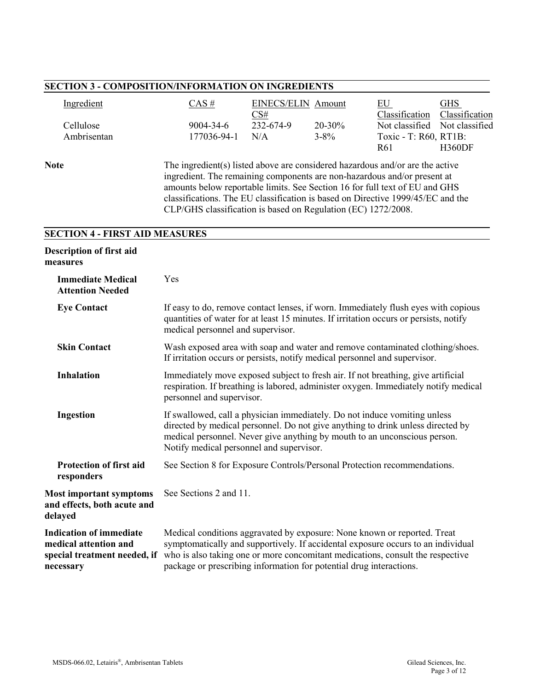| <b>SECTION 3 - COMPOSITION/INFORMATION ON INGREDIENTS</b> |                                                                                                                                                                                                                                                                                                                                                                                              |                                  |           |                                          |                              |
|-----------------------------------------------------------|----------------------------------------------------------------------------------------------------------------------------------------------------------------------------------------------------------------------------------------------------------------------------------------------------------------------------------------------------------------------------------------------|----------------------------------|-----------|------------------------------------------|------------------------------|
| Ingredient                                                | $CAS$ #                                                                                                                                                                                                                                                                                                                                                                                      | <b>EINECS/ELIN Amount</b><br>CS# |           | EU<br>Classification                     | <b>GHS</b><br>Classification |
| Cellulose                                                 | 9004-34-6                                                                                                                                                                                                                                                                                                                                                                                    | 232-674-9                        | 20-30%    | Not classified                           | Not classified               |
| Ambrisentan                                               | 177036-94-1                                                                                                                                                                                                                                                                                                                                                                                  | N/A                              | $3 - 8\%$ | Toxic - T: R60, RT1B:<br>R <sub>61</sub> | <b>H360DF</b>                |
| <b>Note</b>                                               | The ingredient(s) listed above are considered hazardous and/or are the active<br>ingredient. The remaining components are non-hazardous and/or present at<br>amounts below reportable limits. See Section 16 for full text of EU and GHS<br>classifications. The EU classification is based on Directive 1999/45/EC and the<br>CLP/GHS classification is based on Regulation (EC) 1272/2008. |                                  |           |                                          |                              |
| <b>SECTION 4 - FIRST AID MEASURES</b>                     |                                                                                                                                                                                                                                                                                                                                                                                              |                                  |           |                                          |                              |
| Description of first aid<br>measures                      |                                                                                                                                                                                                                                                                                                                                                                                              |                                  |           |                                          |                              |
| <b>Immediate Medical</b><br><b>Attention Needed</b>       | Yes                                                                                                                                                                                                                                                                                                                                                                                          |                                  |           |                                          |                              |
| <b>Eye Contact</b>                                        | If easy to do, remove contact lenses, if worn. Immediately flush eyes with copious<br>quantities of water for at least 15 minutes. If irritation occurs or persists, notify<br>medical personnel and supervisor.                                                                                                                                                                             |                                  |           |                                          |                              |
| <b>Skin Contact</b>                                       | Wash exposed area with soap and water and remove contaminated clothing/shoes.<br>If irritation occurs or persists, notify medical personnel and supervisor.                                                                                                                                                                                                                                  |                                  |           |                                          |                              |
| <b>Inhalation</b>                                         | Immediately move exposed subject to fresh air. If not breathing, give artificial<br>respiration. If breathing is labored, administer oxygen. Immediately notify medical<br>personnel and supervisor.                                                                                                                                                                                         |                                  |           |                                          |                              |
| Ingestion                                                 | If swallowed, call a physician immediately. Do not induce vomiting unless<br>directed by medical personnel. Do not give anything to drink unless directed by<br>medical personnel. Never give anything by mouth to an unconscious person.<br>Notify medical personnel and supervisor.                                                                                                        |                                  |           |                                          |                              |
| <b>Protection of first aid</b>                            | See Section 8 for Exposure Controls/Personal Protection recommendations.                                                                                                                                                                                                                                                                                                                     |                                  |           |                                          |                              |

**Most important symptoms and effects, both acute and delayed** See Sections 2 and 11.

**responders**

**Indication of immediate medical attention and special treatment needed, if**  who is also taking one or more concomitant medications, consult the respective **necessary** Medical conditions aggravated by exposure: None known or reported. Treat symptomatically and supportively. If accidental exposure occurs to an individual package or prescribing information for potential drug interactions.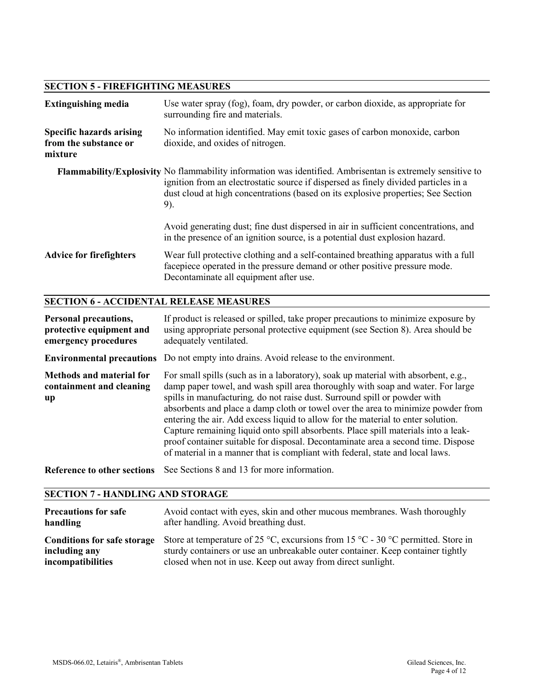## **SECTION 5 - FIREFIGHTING MEASURES**

| <b>Extinguishing media</b>                                          | Use water spray (fog), foam, dry powder, or carbon dioxide, as appropriate for<br>surrounding fire and materials.                                                                                                                                                                             |
|---------------------------------------------------------------------|-----------------------------------------------------------------------------------------------------------------------------------------------------------------------------------------------------------------------------------------------------------------------------------------------|
| <b>Specific hazards arising</b><br>from the substance or<br>mixture | No information identified. May emit toxic gases of carbon monoxide, carbon<br>dioxide, and oxides of nitrogen.                                                                                                                                                                                |
|                                                                     | Flammability/Explosivity No flammability information was identified. Ambrisentan is extremely sensitive to<br>ignition from an electrostatic source if dispersed as finely divided particles in a<br>dust cloud at high concentrations (based on its explosive properties; See Section<br>9). |
|                                                                     | Avoid generating dust; fine dust dispersed in air in sufficient concentrations, and<br>in the presence of an ignition source, is a potential dust explosion hazard.                                                                                                                           |
| <b>Advice for firefighters</b>                                      | Wear full protective clothing and a self-contained breathing apparatus with a full<br>facepiece operated in the pressure demand or other positive pressure mode.<br>Decontaminate all equipment after use.                                                                                    |

## **SECTION 6 - ACCIDENTAL RELEASE MEASURES**

| Personal precautions,<br>protective equipment and<br>emergency procedures | If product is released or spilled, take proper precautions to minimize exposure by<br>using appropriate personal protective equipment (see Section 8). Area should be<br>adequately ventilated.                                                                                                                                                                                                                                                                                                                                                                                                                                                                                       |
|---------------------------------------------------------------------------|---------------------------------------------------------------------------------------------------------------------------------------------------------------------------------------------------------------------------------------------------------------------------------------------------------------------------------------------------------------------------------------------------------------------------------------------------------------------------------------------------------------------------------------------------------------------------------------------------------------------------------------------------------------------------------------|
|                                                                           | <b>Environmental precautions</b> Do not empty into drains. Avoid release to the environment.                                                                                                                                                                                                                                                                                                                                                                                                                                                                                                                                                                                          |
| <b>Methods and material for</b><br>containment and cleaning<br>up         | For small spills (such as in a laboratory), soak up material with absorbent, e.g.,<br>damp paper towel, and wash spill area thoroughly with soap and water. For large<br>spills in manufacturing, do not raise dust. Surround spill or powder with<br>absorbents and place a damp cloth or towel over the area to minimize powder from<br>entering the air. Add excess liquid to allow for the material to enter solution.<br>Capture remaining liquid onto spill absorbents. Place spill materials into a leak-<br>proof container suitable for disposal. Decontaminate area a second time. Dispose<br>of material in a manner that is compliant with federal, state and local laws. |
| <b>Reference to other sections</b>                                        | See Sections 8 and 13 for more information.                                                                                                                                                                                                                                                                                                                                                                                                                                                                                                                                                                                                                                           |

#### **SECTION 7 - HANDLING AND STORAGE**

| <b>Precautions for safe</b>        | Avoid contact with eyes, skin and other mucous membranes. Wash thoroughly        |
|------------------------------------|----------------------------------------------------------------------------------|
| handling                           | after handling. Avoid breathing dust.                                            |
| <b>Conditions for safe storage</b> | Store at temperature of 25 °C, excursions from 15 °C - 30 °C permitted. Store in |
| including any                      | sturdy containers or use an unbreakable outer container. Keep container tightly  |
| <i>incompatibilities</i>           | closed when not in use. Keep out away from direct sunlight.                      |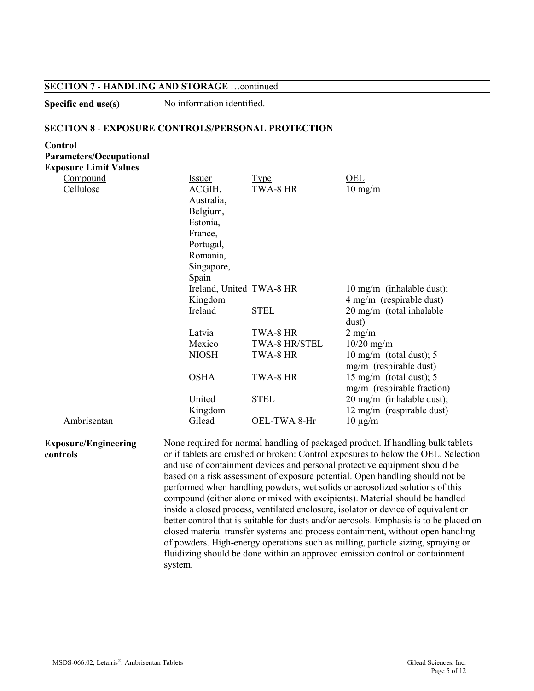#### **SECTION 7 - HANDLING AND STORAGE** …continued

**Specific end use(s)** No information identified.

#### **SECTION 8 - EXPOSURE CONTROLS/PERSONAL PROTECTION**

| Control                        |                          |               |                                                                                    |
|--------------------------------|--------------------------|---------------|------------------------------------------------------------------------------------|
| <b>Parameters/Occupational</b> |                          |               |                                                                                    |
| <b>Exposure Limit Values</b>   |                          |               |                                                                                    |
| Compound                       | <b>Issuer</b>            | <b>Type</b>   | OEL                                                                                |
| Cellulose                      | ACGIH,                   | TWA-8 HR      | $10 \text{ mg/m}$                                                                  |
|                                | Australia,               |               |                                                                                    |
|                                | Belgium,                 |               |                                                                                    |
|                                | Estonia,                 |               |                                                                                    |
|                                | France,                  |               |                                                                                    |
|                                | Portugal,                |               |                                                                                    |
|                                | Romania,                 |               |                                                                                    |
|                                | Singapore,               |               |                                                                                    |
|                                | Spain                    |               |                                                                                    |
|                                | Ireland, United TWA-8 HR |               | 10 mg/m (inhalable dust);                                                          |
|                                | Kingdom                  |               | 4 mg/m (respirable dust)                                                           |
|                                | Ireland                  | <b>STEL</b>   | 20 mg/m (total inhalable                                                           |
|                                |                          |               | dust)                                                                              |
|                                | Latvia                   | TWA-8 HR      | $2$ mg/m                                                                           |
|                                | Mexico                   | TWA-8 HR/STEL | $10/20$ mg/m                                                                       |
|                                | <b>NIOSH</b>             | TWA-8 HR      | 10 mg/m (total dust); $5$                                                          |
|                                |                          |               | mg/m (respirable dust)                                                             |
|                                | <b>OSHA</b>              | TWA-8 HR      | 15 mg/m (total dust); $5$                                                          |
|                                |                          |               | mg/m (respirable fraction)                                                         |
|                                | United                   | <b>STEL</b>   | 20 mg/m (inhalable dust);                                                          |
|                                | Kingdom                  |               | 12 mg/m (respirable dust)                                                          |
| Ambrisentan                    | Gilead                   | OEL-TWA 8-Hr  | $10 \mu g/m$                                                                       |
|                                |                          |               |                                                                                    |
| <b>Exposure/Engineering</b>    |                          |               | None required for normal handling of packaged product. If handling bulk tablets    |
| controls                       |                          |               | or if tablets are crushed or broken: Control exposures to below the OEL. Selection |
|                                |                          |               | and use of containment devices and personal protective equipment should be         |

and use of containment devices and personal protective equipment should be based on a risk assessment of exposure potential. Open handling should not be performed when handling powders, wet solids or aerosolized solutions of this compound (either alone or mixed with excipients). Material should be handled inside a closed process, ventilated enclosure, isolator or device of equivalent or better control that is suitable for dusts and/or aerosols. Emphasis is to be placed on closed material transfer systems and process containment, without open handling of powders. High-energy operations such as milling, particle sizing, spraying or fluidizing should be done within an approved emission control or containment system.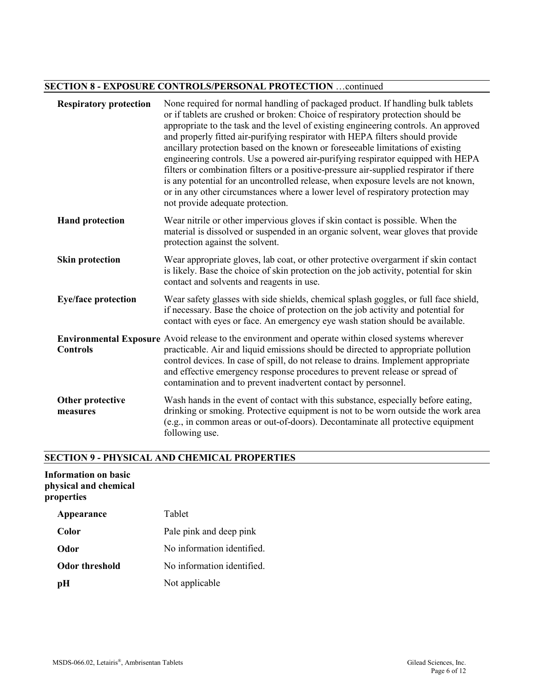#### **SECTION 8 - EXPOSURE CONTROLS/PERSONAL PROTECTION** …continued

| <b>Respiratory protection</b> | None required for normal handling of packaged product. If handling bulk tablets<br>or if tablets are crushed or broken: Choice of respiratory protection should be<br>appropriate to the task and the level of existing engineering controls. An approved<br>and properly fitted air-purifying respirator with HEPA filters should provide<br>ancillary protection based on the known or foreseeable limitations of existing<br>engineering controls. Use a powered air-purifying respirator equipped with HEPA<br>filters or combination filters or a positive-pressure air-supplied respirator if there<br>is any potential for an uncontrolled release, when exposure levels are not known,<br>or in any other circumstances where a lower level of respiratory protection may<br>not provide adequate protection. |
|-------------------------------|-----------------------------------------------------------------------------------------------------------------------------------------------------------------------------------------------------------------------------------------------------------------------------------------------------------------------------------------------------------------------------------------------------------------------------------------------------------------------------------------------------------------------------------------------------------------------------------------------------------------------------------------------------------------------------------------------------------------------------------------------------------------------------------------------------------------------|
| <b>Hand protection</b>        | Wear nitrile or other impervious gloves if skin contact is possible. When the<br>material is dissolved or suspended in an organic solvent, wear gloves that provide<br>protection against the solvent.                                                                                                                                                                                                                                                                                                                                                                                                                                                                                                                                                                                                                |
| <b>Skin protection</b>        | Wear appropriate gloves, lab coat, or other protective overgarment if skin contact<br>is likely. Base the choice of skin protection on the job activity, potential for skin<br>contact and solvents and reagents in use.                                                                                                                                                                                                                                                                                                                                                                                                                                                                                                                                                                                              |
| <b>Eye/face protection</b>    | Wear safety glasses with side shields, chemical splash goggles, or full face shield,<br>if necessary. Base the choice of protection on the job activity and potential for<br>contact with eyes or face. An emergency eye wash station should be available.                                                                                                                                                                                                                                                                                                                                                                                                                                                                                                                                                            |
| <b>Controls</b>               | <b>Environmental Exposure</b> Avoid release to the environment and operate within closed systems wherever<br>practicable. Air and liquid emissions should be directed to appropriate pollution<br>control devices. In case of spill, do not release to drains. Implement appropriate<br>and effective emergency response procedures to prevent release or spread of<br>contamination and to prevent inadvertent contact by personnel.                                                                                                                                                                                                                                                                                                                                                                                 |
| Other protective<br>measures  | Wash hands in the event of contact with this substance, especially before eating,<br>drinking or smoking. Protective equipment is not to be worn outside the work area<br>(e.g., in common areas or out-of-doors). Decontaminate all protective equipment<br>following use.                                                                                                                                                                                                                                                                                                                                                                                                                                                                                                                                           |

# **SECTION 9 - PHYSICAL AND CHEMICAL PROPERTIES**

#### **Information on basic physical and chemical properties**

| Appearance     | Tablet                     |
|----------------|----------------------------|
| Color          | Pale pink and deep pink    |
| Odor           | No information identified. |
| Odor threshold | No information identified. |
| pH             | Not applicable             |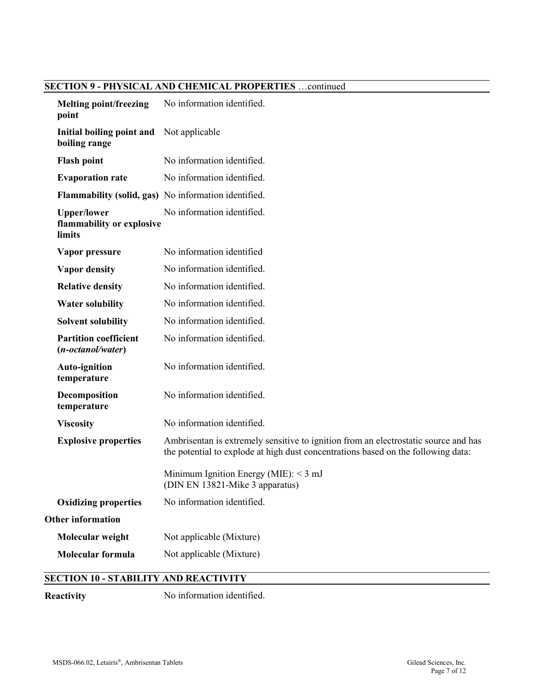# **SECTION 9 - PHYSICAL AND CHEMICAL PROPERTIES** …continued

| <b>Melting point/freezing</b><br>point                    | No information identified.                                                                                                                                               |
|-----------------------------------------------------------|--------------------------------------------------------------------------------------------------------------------------------------------------------------------------|
| Initial boiling point and<br>boiling range                | Not applicable                                                                                                                                                           |
| <b>Flash point</b>                                        | No information identified.                                                                                                                                               |
| <b>Evaporation rate</b>                                   | No information identified.                                                                                                                                               |
|                                                           | <b>Flammability (solid, gas)</b> No information identified.                                                                                                              |
| <b>Upper/lower</b><br>flammability or explosive<br>limits | No information identified.                                                                                                                                               |
| Vapor pressure                                            | No information identified                                                                                                                                                |
| <b>Vapor density</b>                                      | No information identified.                                                                                                                                               |
| <b>Relative density</b>                                   | No information identified.                                                                                                                                               |
| <b>Water solubility</b>                                   | No information identified.                                                                                                                                               |
| <b>Solvent solubility</b>                                 | No information identified.                                                                                                                                               |
| <b>Partition coefficient</b><br>(n-octanol/water)         | No information identified.                                                                                                                                               |
| <b>Auto-ignition</b><br>temperature                       | No information identified.                                                                                                                                               |
| Decomposition<br>temperature                              | No information identified.                                                                                                                                               |
| <b>Viscosity</b>                                          | No information identified.                                                                                                                                               |
| <b>Explosive properties</b>                               | Ambrisentan is extremely sensitive to ignition from an electrostatic source and has<br>the potential to explode at high dust concentrations based on the following data: |
|                                                           | Minimum Ignition Energy (MIE): $<$ 3 mJ<br>(DIN EN 13821-Mike 3 apparatus)                                                                                               |
| <b>Oxidizing properties</b>                               | No information identified.                                                                                                                                               |
| <b>Other information</b>                                  |                                                                                                                                                                          |
| Molecular weight                                          | Not applicable (Mixture)                                                                                                                                                 |
| <b>Molecular formula</b>                                  | Not applicable (Mixture)                                                                                                                                                 |
| <b>SECTION 10 - STABILITY AND REACTIVITY</b>              |                                                                                                                                                                          |
| Reactivity                                                | No information identified.                                                                                                                                               |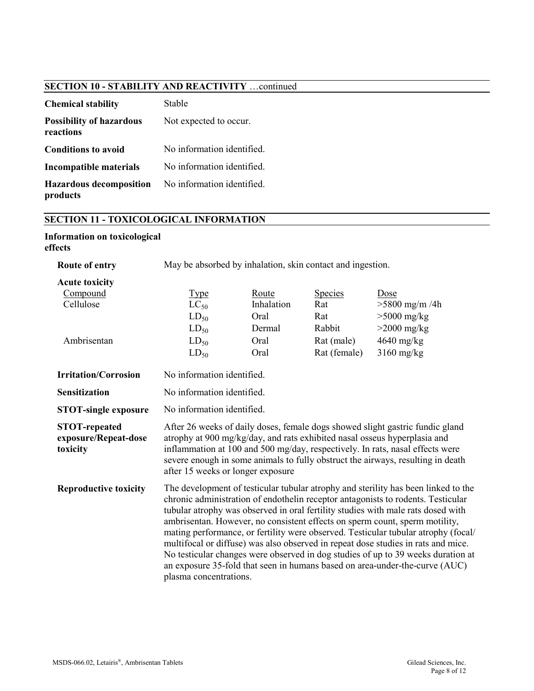## **SECTION 10 - STABILITY AND REACTIVITY** …continued

| <b>Chemical stability</b>                    | Stable                     |
|----------------------------------------------|----------------------------|
| <b>Possibility of hazardous</b><br>reactions | Not expected to occur.     |
| <b>Conditions to avoid</b>                   | No information identified. |
| Incompatible materials                       | No information identified. |
| <b>Hazardous decomposition</b><br>products   | No information identified. |

## **SECTION 11 - TOXICOLOGICAL INFORMATION**

#### **Information on toxicological effects**

| Route of entry                                                | May be absorbed by inhalation, skin contact and ingestion.                                                                                                                                                                                                                                                                                                                                                                                                                                                                                                                                                                                                                                                        |                                                       |                                                                      |                                                                                          |
|---------------------------------------------------------------|-------------------------------------------------------------------------------------------------------------------------------------------------------------------------------------------------------------------------------------------------------------------------------------------------------------------------------------------------------------------------------------------------------------------------------------------------------------------------------------------------------------------------------------------------------------------------------------------------------------------------------------------------------------------------------------------------------------------|-------------------------------------------------------|----------------------------------------------------------------------|------------------------------------------------------------------------------------------|
| <b>Acute toxicity</b><br>Compound<br>Cellulose<br>Ambrisentan | <b>Type</b><br>$LC_{50}$<br>$LD_{50}$<br>$LD_{50}$<br>$LD_{50}$<br>$LD_{50}$                                                                                                                                                                                                                                                                                                                                                                                                                                                                                                                                                                                                                                      | Route<br>Inhalation<br>Oral<br>Dermal<br>Oral<br>Oral | <b>Species</b><br>Rat<br>Rat<br>Rabbit<br>Rat (male)<br>Rat (female) | Dose<br>$>5800$ mg/m /4h<br>$>5000$ mg/kg<br>$>2000$ mg/kg<br>4640 mg/kg<br>$3160$ mg/kg |
| <b>Irritation/Corrosion</b>                                   | No information identified.                                                                                                                                                                                                                                                                                                                                                                                                                                                                                                                                                                                                                                                                                        |                                                       |                                                                      |                                                                                          |
| <b>Sensitization</b>                                          | No information identified.                                                                                                                                                                                                                                                                                                                                                                                                                                                                                                                                                                                                                                                                                        |                                                       |                                                                      |                                                                                          |
| <b>STOT-single exposure</b>                                   | No information identified.                                                                                                                                                                                                                                                                                                                                                                                                                                                                                                                                                                                                                                                                                        |                                                       |                                                                      |                                                                                          |
| <b>STOT-repeated</b><br>exposure/Repeat-dose<br>toxicity      | After 26 weeks of daily doses, female dogs showed slight gastric fundic gland<br>atrophy at 900 mg/kg/day, and rats exhibited nasal osseus hyperplasia and<br>inflammation at 100 and 500 mg/day, respectively. In rats, nasal effects were<br>severe enough in some animals to fully obstruct the airways, resulting in death<br>after 15 weeks or longer exposure                                                                                                                                                                                                                                                                                                                                               |                                                       |                                                                      |                                                                                          |
| <b>Reproductive toxicity</b>                                  | The development of testicular tubular atrophy and sterility has been linked to the<br>chronic administration of endothelin receptor antagonists to rodents. Testicular<br>tubular atrophy was observed in oral fertility studies with male rats dosed with<br>ambrisentan. However, no consistent effects on sperm count, sperm motility,<br>mating performance, or fertility were observed. Testicular tubular atrophy (focal/<br>multifocal or diffuse) was also observed in repeat dose studies in rats and mice.<br>No testicular changes were observed in dog studies of up to 39 weeks duration at<br>an exposure 35-fold that seen in humans based on area-under-the-curve (AUC)<br>plasma concentrations. |                                                       |                                                                      |                                                                                          |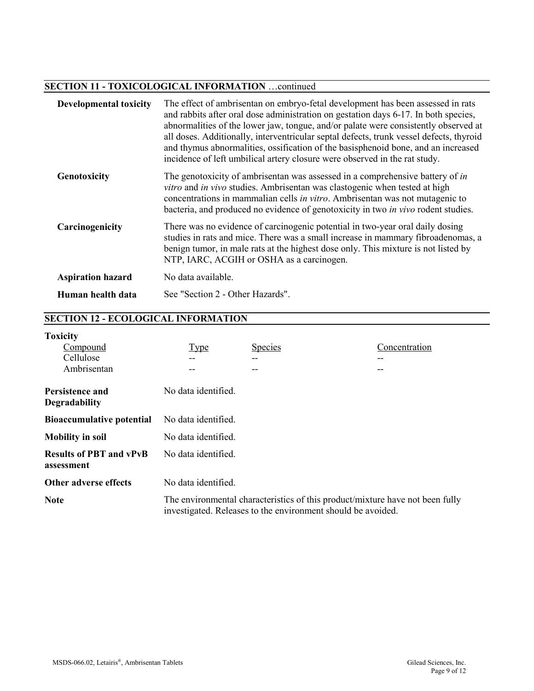### **SECTION 11 - TOXICOLOGICAL INFORMATION** …continued

| <b>Developmental toxicity</b> | The effect of ambrisentan on embryo-fetal development has been assessed in rats<br>and rabbits after oral dose administration on gestation days 6-17. In both species,<br>abnormalities of the lower jaw, tongue, and/or palate were consistently observed at<br>all doses. Additionally, interventricular septal defects, trunk vessel defects, thyroid<br>and thymus abnormalities, ossification of the basisphenoid bone, and an increased<br>incidence of left umbilical artery closure were observed in the rat study. |
|-------------------------------|-----------------------------------------------------------------------------------------------------------------------------------------------------------------------------------------------------------------------------------------------------------------------------------------------------------------------------------------------------------------------------------------------------------------------------------------------------------------------------------------------------------------------------|
| Genotoxicity                  | The genotoxicity of ambrisentan was assessed in a comprehensive battery of in<br>vitro and in vivo studies. Ambrisentan was clastogenic when tested at high<br>concentrations in mammalian cells in vitro. Ambrisentan was not mutagenic to<br>bacteria, and produced no evidence of genotoxicity in two <i>in vivo</i> rodent studies.                                                                                                                                                                                     |
| Carcinogenicity               | There was no evidence of carcinogenic potential in two-year oral daily dosing<br>studies in rats and mice. There was a small increase in mammary fibroadenomas, a<br>benign tumor, in male rats at the highest dose only. This mixture is not listed by<br>NTP, IARC, ACGIH or OSHA as a carcinogen.                                                                                                                                                                                                                        |
| <b>Aspiration hazard</b>      | No data available.                                                                                                                                                                                                                                                                                                                                                                                                                                                                                                          |
| Human health data             | See "Section 2 - Other Hazards".                                                                                                                                                                                                                                                                                                                                                                                                                                                                                            |

# **SECTION 12 - ECOLOGICAL INFORMATION**

|  | Foxicity |
|--|----------|
|  |          |

| <b>AUARCHUT</b>                              |                                                                                                                                               |                |               |
|----------------------------------------------|-----------------------------------------------------------------------------------------------------------------------------------------------|----------------|---------------|
| Compound                                     | Type                                                                                                                                          | <b>Species</b> | Concentration |
| Cellulose                                    |                                                                                                                                               | --             |               |
| Ambrisentan                                  |                                                                                                                                               | --             |               |
| Persistence and<br><b>Degradability</b>      | No data identified.                                                                                                                           |                |               |
| <b>Bioaccumulative potential</b>             | No data identified.                                                                                                                           |                |               |
| <b>Mobility in soil</b>                      | No data identified.                                                                                                                           |                |               |
| <b>Results of PBT and vPvB</b><br>assessment | No data identified.                                                                                                                           |                |               |
| <b>Other adverse effects</b>                 | No data identified.                                                                                                                           |                |               |
| <b>Note</b>                                  | The environmental characteristics of this product/mixture have not been fully<br>investigated. Releases to the environment should be avoided. |                |               |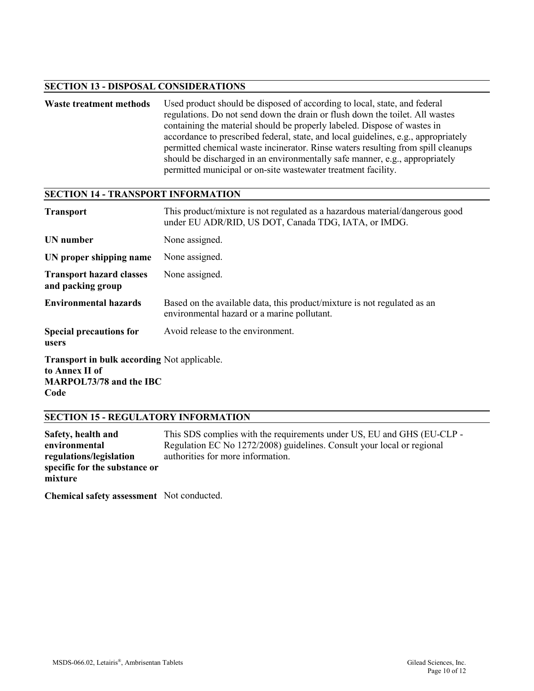#### **SECTION 13 - DISPOSAL CONSIDERATIONS**

Waste treatment methods Used product should be disposed of according to local, state, and federal regulations. Do not send down the drain or flush down the toilet. All wastes containing the material should be properly labeled. Dispose of wastes in accordance to prescribed federal, state, and local guidelines, e.g., appropriately permitted chemical waste incinerator. Rinse waters resulting from spill cleanups should be discharged in an environmentally safe manner, e.g., appropriately permitted municipal or on-site wastewater treatment facility.

#### **SECTION 14 - TRANSPORT INFORMATION**

| <b>Transport</b>                                                                                               | This product/mixture is not regulated as a hazardous material/dangerous good<br>under EU ADR/RID, US DOT, Canada TDG, IATA, or IMDG. |
|----------------------------------------------------------------------------------------------------------------|--------------------------------------------------------------------------------------------------------------------------------------|
| <b>UN</b> number                                                                                               | None assigned.                                                                                                                       |
| UN proper shipping name                                                                                        | None assigned.                                                                                                                       |
| <b>Transport hazard classes</b><br>and packing group                                                           | None assigned.                                                                                                                       |
| <b>Environmental hazards</b>                                                                                   | Based on the available data, this product/mixture is not regulated as an<br>environmental hazard or a marine pollutant.              |
| <b>Special precautions for</b><br>users                                                                        | Avoid release to the environment.                                                                                                    |
| <b>Transport in bulk according Not applicable.</b><br>to Annex II of<br><b>MARPOL73/78 and the IBC</b><br>Code |                                                                                                                                      |

#### **SECTION 15 - REGULATORY INFORMATION**

**Safety, health and environmental regulations/legislation specific for the substance or mixture**

This SDS complies with the requirements under US, EU and GHS (EU-CLP - Regulation EC No 1272/2008) guidelines. Consult your local or regional authorities for more information.

**Chemical safety assessment** Not conducted.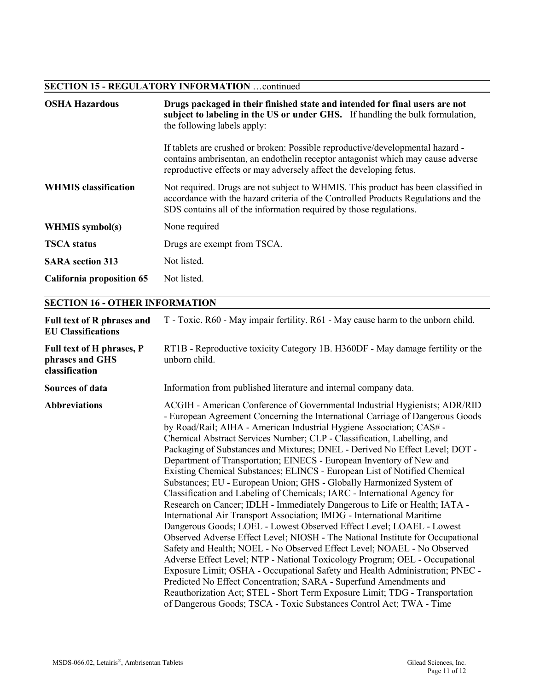### **SECTION 15 - REGULATORY INFORMATION** …continued

| <b>OSHA Hazardous</b>       | Drugs packaged in their finished state and intended for final users are not<br>subject to labeling in the US or under GHS. If handling the bulk formulation,<br>the following labels apply:                                                   |
|-----------------------------|-----------------------------------------------------------------------------------------------------------------------------------------------------------------------------------------------------------------------------------------------|
|                             | If tablets are crushed or broken: Possible reproductive/developmental hazard -<br>contains ambrisentan, an endothelin receptor antagonist which may cause adverse<br>reproductive effects or may adversely affect the developing fetus.       |
| <b>WHMIS</b> classification | Not required. Drugs are not subject to WHMIS. This product has been classified in<br>accordance with the hazard criteria of the Controlled Products Regulations and the<br>SDS contains all of the information required by those regulations. |
| <b>WHMIS</b> symbol(s)      | None required                                                                                                                                                                                                                                 |
| <b>TSCA</b> status          | Drugs are exempt from TSCA.                                                                                                                                                                                                                   |
| <b>SARA</b> section 313     | Not listed.                                                                                                                                                                                                                                   |
| California proposition 65   | Not listed.                                                                                                                                                                                                                                   |

### **SECTION 16 - OTHER INFORMATION**

| <b>Full text of R phrases and</b><br><b>EU Classifications</b> | T - Toxic. R60 - May impair fertility. R61 - May cause harm to the unborn child.                                                                                                                                                                                                                                                                                                                                                                                                                                                                                                                                                                                                                                                                                                                                                                                                                                                                                                                                                                                                                                                                                                                                                                                                                                                                                                                                                                                                                |
|----------------------------------------------------------------|-------------------------------------------------------------------------------------------------------------------------------------------------------------------------------------------------------------------------------------------------------------------------------------------------------------------------------------------------------------------------------------------------------------------------------------------------------------------------------------------------------------------------------------------------------------------------------------------------------------------------------------------------------------------------------------------------------------------------------------------------------------------------------------------------------------------------------------------------------------------------------------------------------------------------------------------------------------------------------------------------------------------------------------------------------------------------------------------------------------------------------------------------------------------------------------------------------------------------------------------------------------------------------------------------------------------------------------------------------------------------------------------------------------------------------------------------------------------------------------------------|
| Full text of H phrases, P<br>phrases and GHS<br>classification | RT1B - Reproductive toxicity Category 1B. H360DF - May damage fertility or the<br>unborn child.                                                                                                                                                                                                                                                                                                                                                                                                                                                                                                                                                                                                                                                                                                                                                                                                                                                                                                                                                                                                                                                                                                                                                                                                                                                                                                                                                                                                 |
| Sources of data                                                | Information from published literature and internal company data.                                                                                                                                                                                                                                                                                                                                                                                                                                                                                                                                                                                                                                                                                                                                                                                                                                                                                                                                                                                                                                                                                                                                                                                                                                                                                                                                                                                                                                |
| <b>Abbreviations</b>                                           | ACGIH - American Conference of Governmental Industrial Hygienists; ADR/RID<br>- European Agreement Concerning the International Carriage of Dangerous Goods<br>by Road/Rail; AIHA - American Industrial Hygiene Association; CAS# -<br>Chemical Abstract Services Number; CLP - Classification, Labelling, and<br>Packaging of Substances and Mixtures; DNEL - Derived No Effect Level; DOT -<br>Department of Transportation; EINECS - European Inventory of New and<br>Existing Chemical Substances; ELINCS - European List of Notified Chemical<br>Substances; EU - European Union; GHS - Globally Harmonized System of<br>Classification and Labeling of Chemicals; IARC - International Agency for<br>Research on Cancer; IDLH - Immediately Dangerous to Life or Health; IATA -<br>International Air Transport Association; IMDG - International Maritime<br>Dangerous Goods; LOEL - Lowest Observed Effect Level; LOAEL - Lowest<br>Observed Adverse Effect Level; NIOSH - The National Institute for Occupational<br>Safety and Health; NOEL - No Observed Effect Level; NOAEL - No Observed<br>Adverse Effect Level; NTP - National Toxicology Program; OEL - Occupational<br>Exposure Limit; OSHA - Occupational Safety and Health Administration; PNEC -<br>Predicted No Effect Concentration; SARA - Superfund Amendments and<br>Reauthorization Act; STEL - Short Term Exposure Limit; TDG - Transportation<br>of Dangerous Goods; TSCA - Toxic Substances Control Act; TWA - Time |